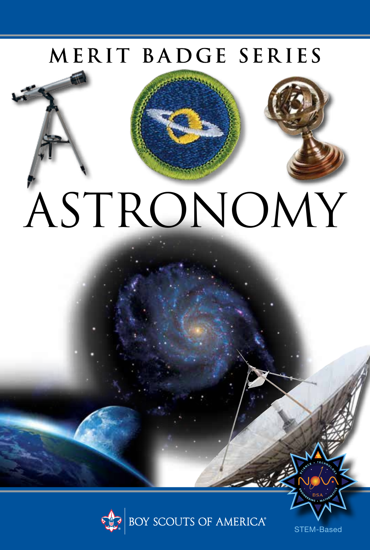## MERIT BADGE SERIES

# ASTRONOMY



STEM-Based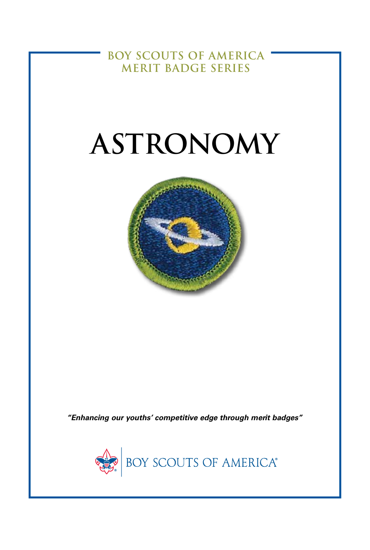**BOY SCOUTS OF AMERICA MERIT BADGE SERIES**

# **ASTRONOMY**



*"Enhancing our youths' competitive edge through merit badges"*

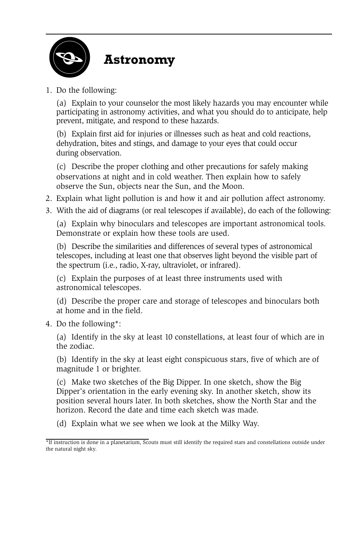

#### **Astronomy**

1. Do the following:

(a) Explain to your counselor the most likely hazards you may encounter while participating in astronomy activities, and what you should do to anticipate, help prevent, mitigate, and respond to these hazards.

(b) Explain first aid for injuries or illnesses such as heat and cold reactions, dehydration, bites and stings, and damage to your eyes that could occur during observation.

(c) Describe the proper clothing and other precautions for safely making observations at night and in cold weather. Then explain how to safely observe the Sun, objects near the Sun, and the Moon.

- 2. Explain what light pollution is and how it and air pollution affect astronomy.
- 3. With the aid of diagrams (or real telescopes if available), do each of the following:

(a) Explain why binoculars and telescopes are important astronomical tools. Demonstrate or explain how these tools are used.

(b) Describe the similarities and differences of several types of astronomical telescopes, including at least one that observes light beyond the visible part of the spectrum (i.e., radio, X-ray, ultraviolet, or infrared).

(c) Explain the purposes of at least three instruments used with astronomical telescopes.

(d) Describe the proper care and storage of telescopes and binoculars both at home and in the field.

4. Do the following\*:

(a) Identify in the sky at least 10 constellations, at least four of which are in the zodiac.

(b) Identify in the sky at least eight conspicuous stars, five of which are of magnitude 1 or brighter.

(c) Make two sketches of the Big Dipper. In one sketch, show the Big Dipper's orientation in the early evening sky. In another sketch, show its position several hours later. In both sketches, show the North Star and the horizon. Record the date and time each sketch was made.

(d) Explain what we see when we look at the Milky Way.

<sup>\*</sup>If instruction is done in a planetarium, Scouts must still identify the required stars and constellations outside under the natural night sky.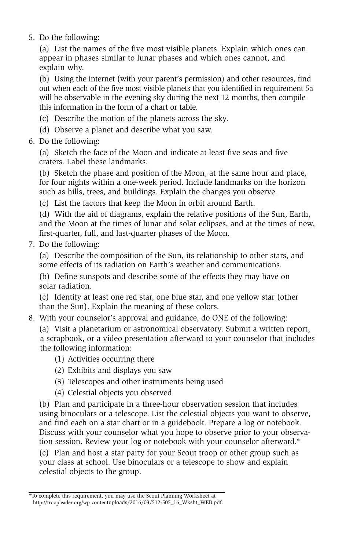5. Do the following:

(a) List the names of the five most visible planets. Explain which ones can appear in phases similar to lunar phases and which ones cannot, and explain why.

(b) Using the internet (with your parent's permission) and other resources, find out when each of the five most visible planets that you identified in requirement 5a will be observable in the evening sky during the next 12 months, then compile this information in the form of a chart or table.

- (c) Describe the motion of the planets across the sky.
- (d) Observe a planet and describe what you saw.
- 6. Do the following:

(a) Sketch the face of the Moon and indicate at least five seas and five craters. Label these landmarks.

(b) Sketch the phase and position of the Moon, at the same hour and place, for four nights within a one-week period. Include landmarks on the horizon such as hills, trees, and buildings. Explain the changes you observe.

(c) List the factors that keep the Moon in orbit around Earth.

(d) With the aid of diagrams, explain the relative positions of the Sun, Earth, and the Moon at the times of lunar and solar eclipses, and at the times of new, first-quarter, full, and last-quarter phases of the Moon.

7. Do the following:

(a) Describe the composition of the Sun, its relationship to other stars, and some effects of its radiation on Earth's weather and communications.

(b) Define sunspots and describe some of the effects they may have on solar radiation.

(c) Identify at least one red star, one blue star, and one yellow star (other than the Sun). Explain the meaning of these colors.

8. With your counselor's approval and guidance, do ONE of the following:

(a) Visit a planetarium or astronomical observatory. Submit a written report, a scrapbook, or a video presentation afterward to your counselor that includes the following information:

- (1) Activities occurring there
- (2) Exhibits and displays you saw
- (3) Telescopes and other instruments being used
- (4) Celestial objects you observed

(b) Plan and participate in a three-hour observation session that includes using binoculars or a telescope. List the celestial objects you want to observe, and find each on a star chart or in a guidebook. Prepare a log or notebook. Discuss with your counselor what you hope to observe prior to your observation session. Review your log or notebook with your counselor afterward.\*

(c) Plan and host a star party for your Scout troop or other group such as your class at school. Use binoculars or a telescope to show and explain celestial objects to the group.

<sup>\*</sup> To complete this requirement, you may use the Scout Planning Worksheet at http://troopleader.org/wp-content[uploads/2016/03/512-505\\_16\\_Wksht\\_WEB.pdf.](http://troopleader.org/wp-contentuploads/2016/03/512-505_16_Wksht_WEB.pdf)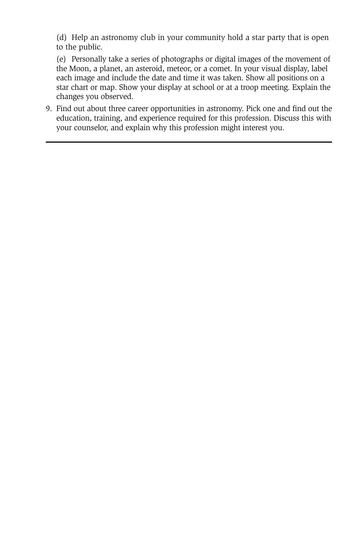(d) Help an astronomy club in your community hold a star party that is open to the public.

(e) Personally take a series of photographs or digital images of the movement of the Moon, a planet, an asteroid, meteor, or a comet. In your visual display, label each image and include the date and time it was taken. Show all positions on a star chart or map. Show your display at school or at a troop meeting. Explain the changes you observed.

9. Find out about three career opportunities in astronomy. Pick one and find out the education, training, and experience required for this profession. Discuss this with your counselor, and explain why this profession might interest you.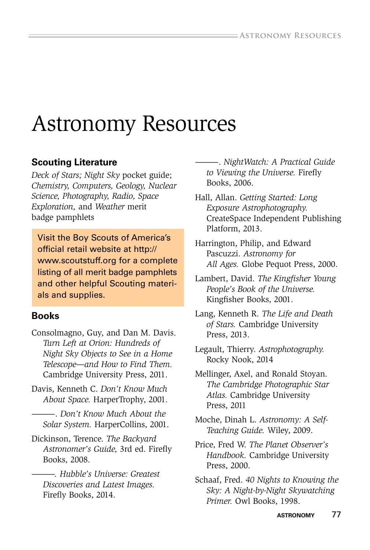### Astronomy Resources

#### **Scouting Literature**

*Deck of Stars; Night Sky* pocket guide; *Chemistry, Computers, Geology, Nuclear Science, Photography, Radio, Space Exploration,* and *Weather* merit badge pamphlets

Visit the Boy Scouts of America's official retail website at http:// www.scoutstuff.org for a complete listing of all merit badge pamphlets and other helpful Scouting materials and supplies.

#### **Books**

- Consolmagno, Guy, and Dan M. Davis. *Turn Left at Orion: Hundreds of Night Sky Objects to See in a Home Telescope—and How to Find Them.* Cambridge University Press, 2011.
- Davis, Kenneth C. *Don't Know Much About Space.* HarperTrophy, 2001.
	- ———. *Don't Know Much About the Solar System.* HarperCollins, 2001.
- Dickinson, Terence. *The Backyard Astronomer's Guide,* 3rd ed. Firefy Books, 2008.
	- ———. *Hubble's Universe: Greatest Discoveries and Latest Images.*  Firefly Books, 2014.
- ———. *NightWatch: A Practical Guide to Viewing the Universe.* Firefy Books, 2006.
- Hall, Allan. *Getting Started: Long Exposure Astrophotography.* CreateSpace Independent Publishing Platform, 2013.
- Harrington, Philip, and Edward Pascuzzi. *Astronomy for All Ages.* Globe Pequot Press, 2000.
- Lambert, David. *The Kingfsher Young People's Book of the Universe.* Kingfisher Books, 2001.
- Lang, Kenneth R. *The Life and Death of Stars.* Cambridge University Press, 2013.
- Legault, Thierry. *Astrophotography.*  Rocky Nook, 2014
- Mellinger, Axel, and Ronald Stoyan. *The Cambridge Photographic Star Atlas.* Cambridge University Press, 2011
- Moche, Dinah L. *Astronomy: A Self-Teaching Guide.* Wiley, 2009.
- Price, Fred W. *The Planet Observer's Handbook.* Cambridge University Press, 2000.
- Schaaf, Fred. *40 Nights to Knowing the Sky: A Night-by-Night Skywatching Primer.* Owl Books, 1998.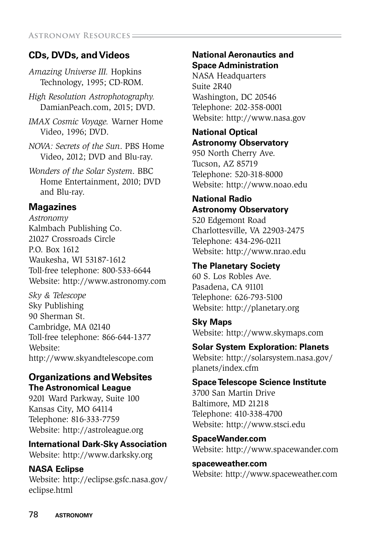#### **CDs, DVDs, and Videos**

*Amazing Universe III.* Hopkins Technology, 1995; CD-ROM.

*High Resolution Astrophotography.*  DamianPeach.com, 2015; DVD.

*IMAX Cosmic Voyage.* Warner Home Video, 1996; DVD.

- *NOVA: Secrets of the Sun*. PBS Home Video, 2012; DVD and Blu-ray.
- *Wonders of the Solar System*. BBC Home Entertainment, 2010; DVD and Blu-ray.

#### **Magazines**

*Astronomy* Kalmbach Publishing Co. 21027 Crossroads Circle P.O. Box 1612 Waukesha, WI 53187-1612 Toll-free telephone: 800-533-6644 Website: http://www.astronomy.com

*Sky & Telescope* Sky Publishing 90 Sherman St. Cambridge, MA 02140 Toll-free telephone: 866-644-1377 Website: http://www.skyandtelescope.com

#### **Organizations and Websites The Astronomical League**

9201 Ward Parkway, Suite 100 Kansas City, MO 64114 Telephone: 816-333-7759 Website: http://astroleague.org

#### **International Dark-Sky Association**

Website: http://www.darksky.org

#### **NASA Eclipse**

Website: http://eclipse.gsfc.nasa.gov/ eclipse.html

#### **National Aeronautics and Space Administration**

NASA Headquarters Suite 2R40 Washington, DC 20546 Telephone: 202-358-0001 Website: http://www.nasa.gov

#### **National Optical Astronomy Observatory**

950 North Cherry Ave. Tucson, AZ 85719 Telephone: 520-318-8000 Website: http://www.noao.edu

#### **National Radio Astronomy Observatory**

520 Edgemont Road Charlottesville, VA 22903-2475 Telephone: 434-296-0211 Website: http://www.nrao.edu

#### **The Planetary Society**

60 S. Los Robles Ave. Pasadena, CA 91101 Telephone: 626-793-5100 Website: http://planetary.org

**Sky Maps** Website: http://www.skymaps.com

#### **Solar System Exploration: Planets**

Website: http://solarsystem.nasa.gov/ planets/index.cfm

#### **Space Telescope Science Institute**

3700 San Martin Drive Baltimore, MD 21218 Telephone: 410-338-4700 Website: http://www.stsci.edu

**SpaceWander.com** Website: http://www.spacewander.com

**spaceweather.com** Website: http://www.spaceweather.com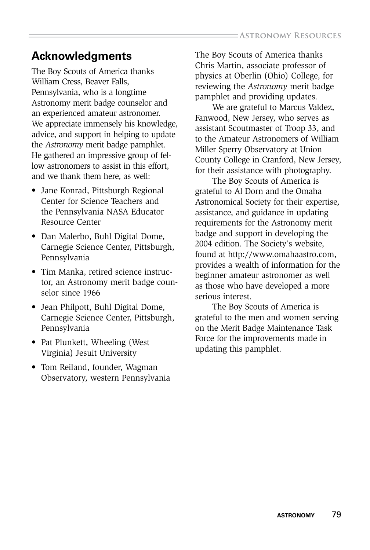#### **Acknowledgments**

The Boy Scouts of America thanks William Cress, Beaver Falls, Pennsylvania, who is a longtime Astronomy merit badge counselor and an experienced amateur astronomer. We appreciate immensely his knowledge, advice, and support in helping to update the *Astronomy* merit badge pamphlet. He gathered an impressive group of fellow astronomers to assist in this effort, and we thank them here, as well:

- Jane Konrad, Pittsburgh Regional Center for Science Teachers and the Pennsylvania NASA Educator Resource Center
- Dan Malerbo, Buhl Digital Dome, Carnegie Science Center, Pittsburgh, Pennsylvania
- Tim Manka, retired science instructor, an Astronomy merit badge counselor since 1966
- Jean Philpott, Buhl Digital Dome, Carnegie Science Center, Pittsburgh, Pennsylvania
- Pat Plunkett, Wheeling (West Virginia) Jesuit University
- Tom Reiland, founder, Wagman Observatory, western Pennsylvania

The Boy Scouts of America thanks Chris Martin, associate professor of physics at Oberlin (Ohio) College, for reviewing the *Astronomy* merit badge pamphlet and providing updates.

We are grateful to Marcus Valdez, Fanwood, New Jersey, who serves as assistant Scoutmaster of Troop 33, and to the Amateur Astronomers of William Miller Sperry Observatory at Union County College in Cranford, New Jersey, for their assistance with photography.

The Boy Scouts of America is grateful to Al Dorn and the Omaha Astronomical Society for their expertise, assistance, and guidance in updating requirements for the Astronomy merit badge and support in developing the 2004 edition. The Society's website, found at http://www.omahaastro.com, provides a wealth of information for the beginner amateur astronomer as well as those who have developed a more serious interest.

The Boy Scouts of America is grateful to the men and women serving on the Merit Badge Maintenance Task Force for the improvements made in updating this pamphlet.